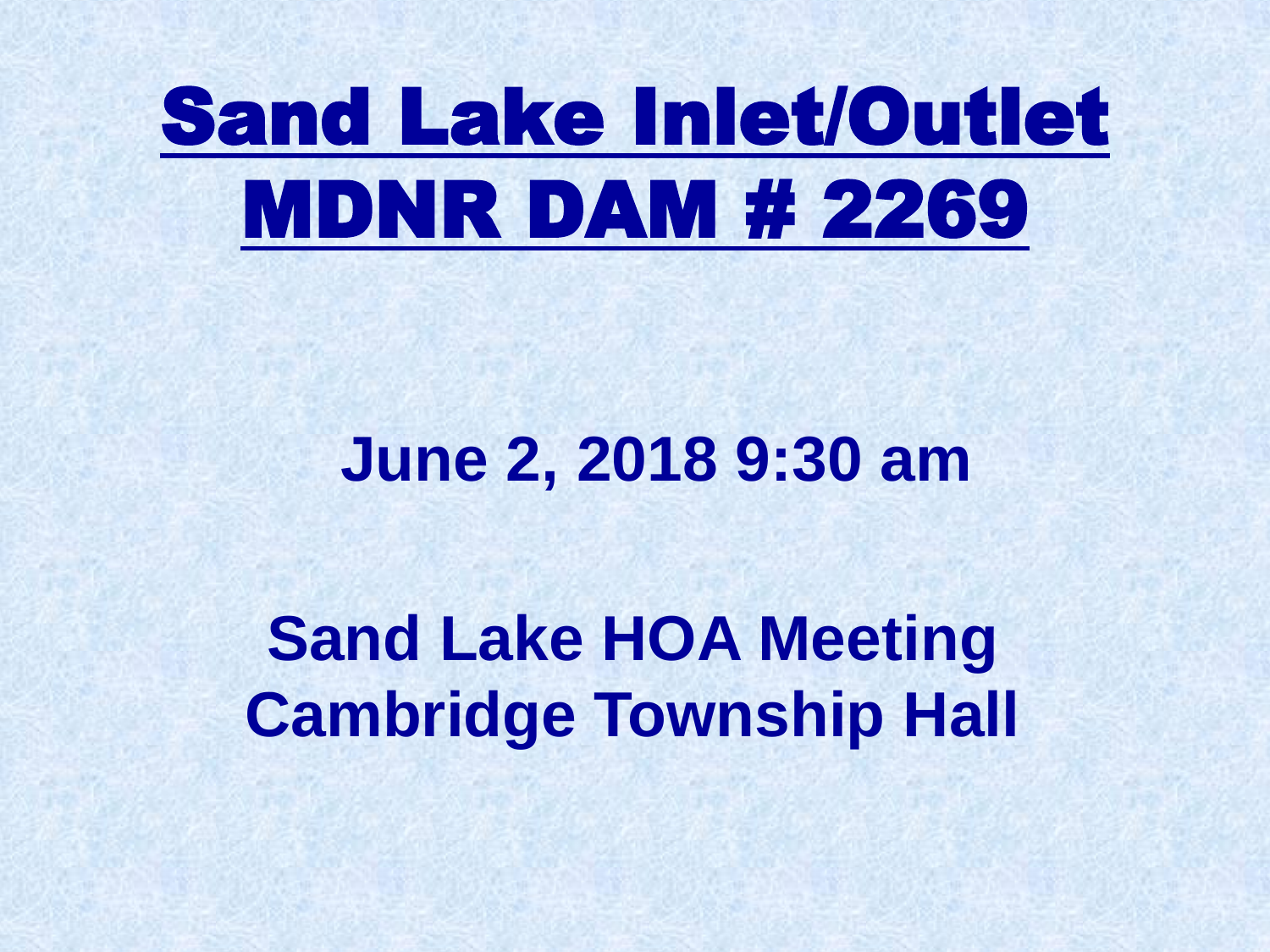# Sand Lake Inlet/Outlet MDNR DAM # 2269

## **June 2, 2018 9:30 am**

**Sand Lake HOA Meeting Cambridge Township Hall**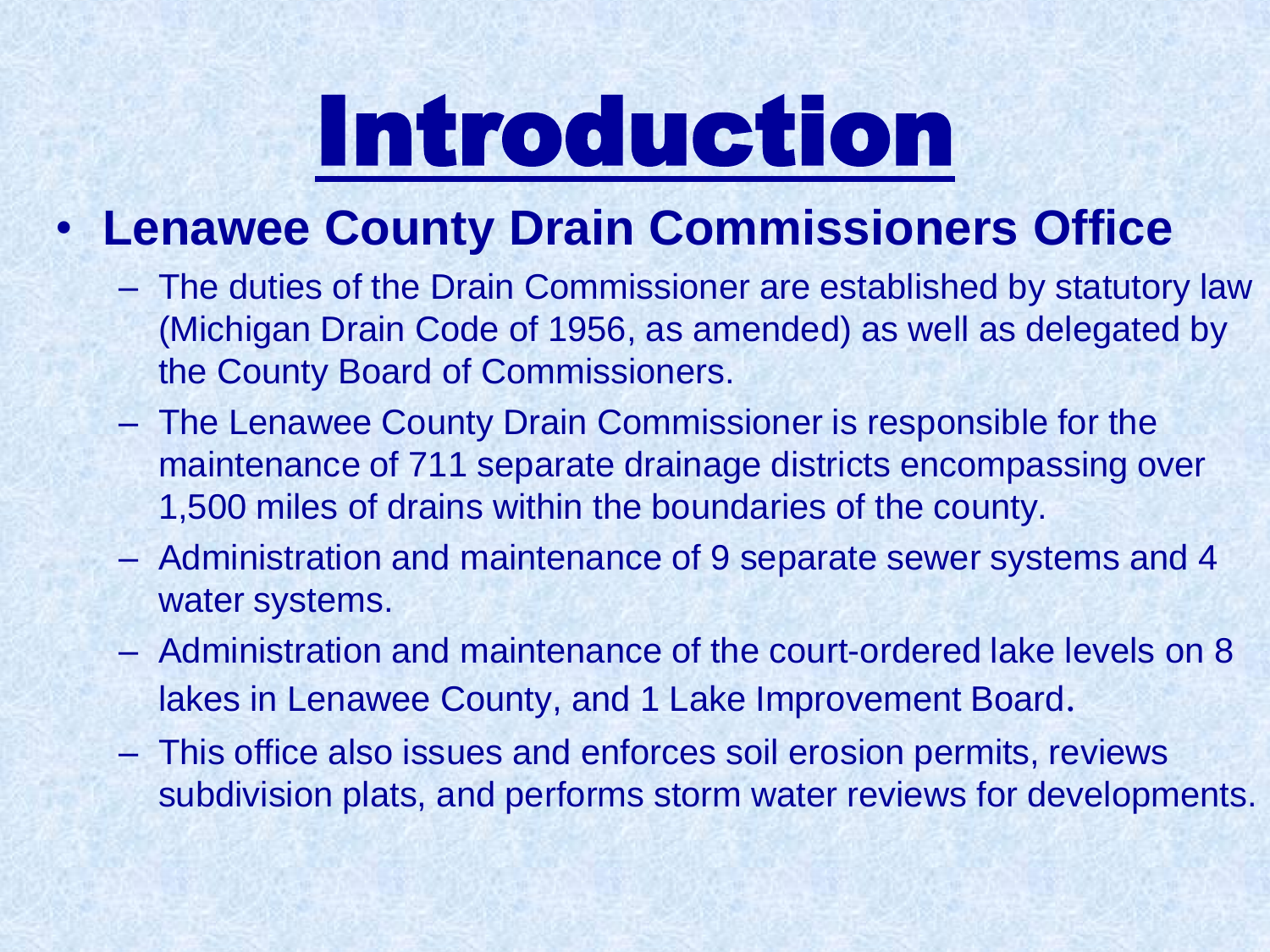# Introduction

### • **Lenawee County Drain Commissioners Office**

- The duties of the Drain Commissioner are established by statutory law (Michigan Drain Code of 1956, as amended) as well as delegated by the County Board of Commissioners.
- The Lenawee County Drain Commissioner is responsible for the maintenance of 711 separate drainage districts encompassing over 1,500 miles of drains within the boundaries of the county.
- Administration and maintenance of 9 separate sewer systems and 4 water systems.
- Administration and maintenance of the court-ordered lake levels on 8 lakes in Lenawee County, and 1 Lake Improvement Board.
- This office also issues and enforces soil erosion permits, reviews subdivision plats, and performs storm water reviews for developments.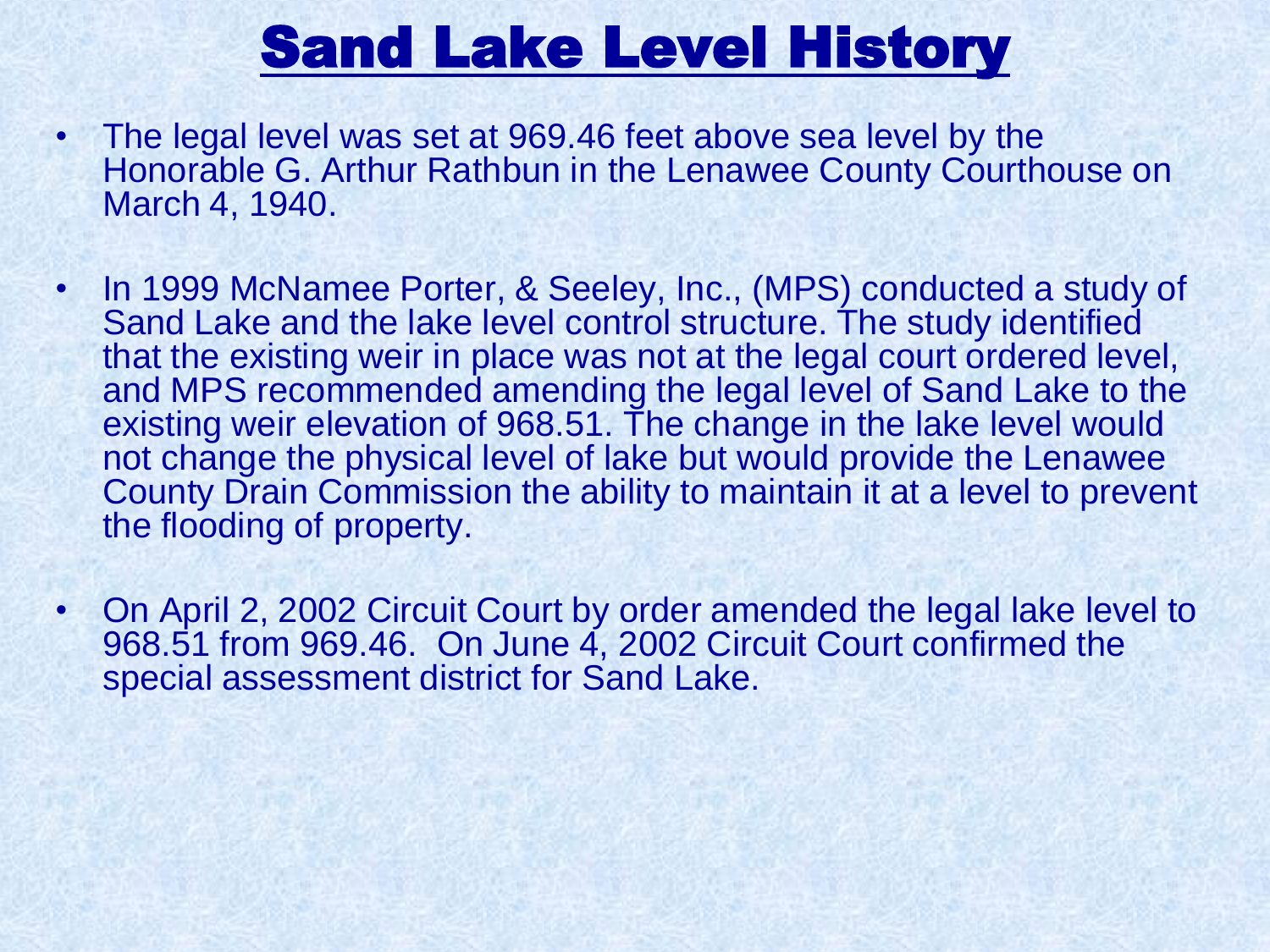## Sand Lake Level History

- The legal level was set at 969.46 feet above sea level by the Honorable G. Arthur Rathbun in the Lenawee County Courthouse on March 4, 1940.
- In 1999 McNamee Porter, & Seeley, Inc., (MPS) conducted a study of Sand Lake and the lake level control structure. The study identified that the existing weir in place was not at the legal court ordered level, and MPS recommended amending the legal level of Sand Lake to the existing weir elevation of 968.51. The change in the lake level would not change the physical level of lake but would provide the Lenawee County Drain Commission the ability to maintain it at a level to prevent the flooding of property.
- On April 2, 2002 Circuit Court by order amended the legal lake level to 968.51 from 969.46. On June 4, 2002 Circuit Court confirmed the special assessment district for Sand Lake.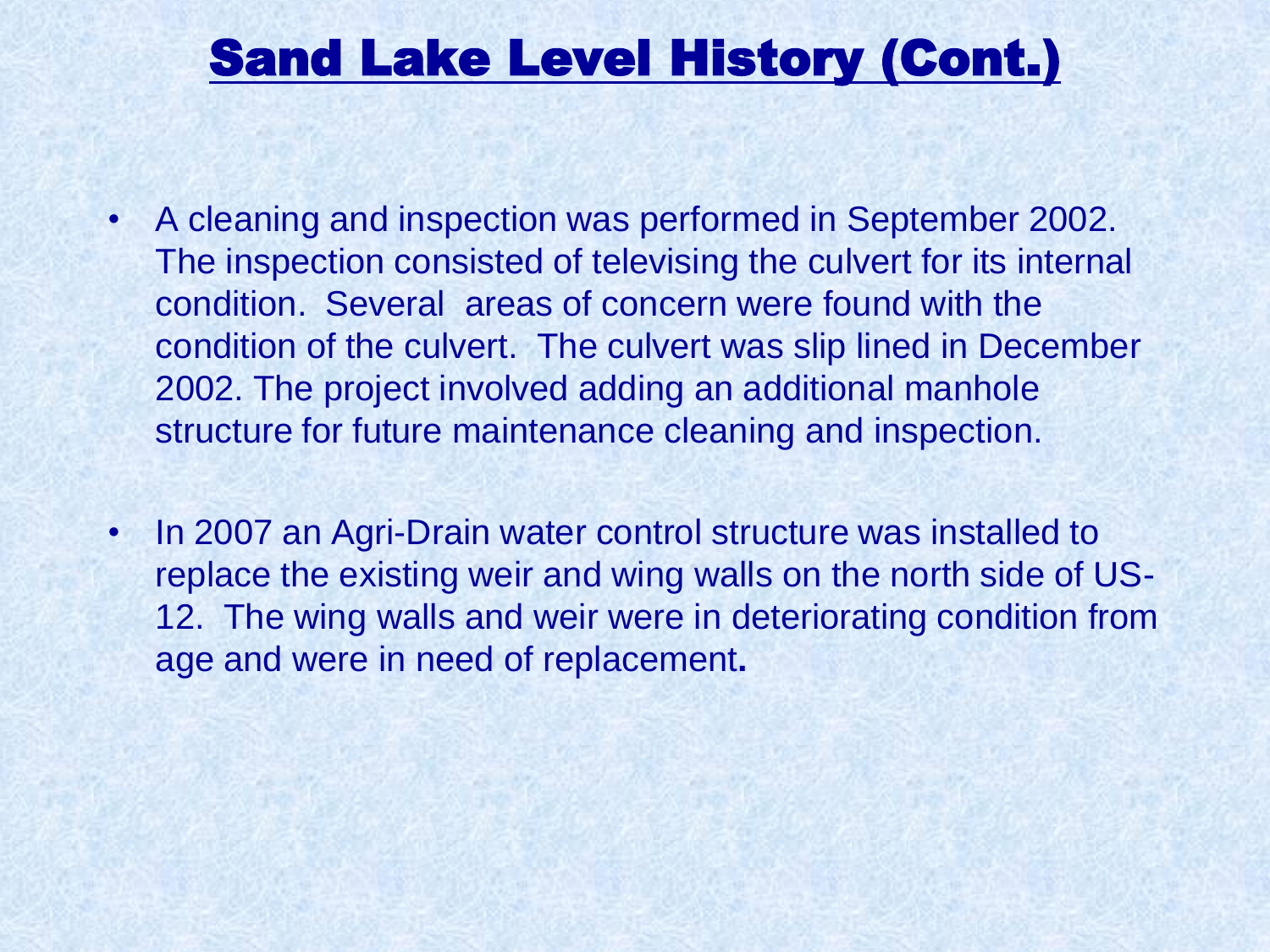### Sand Lake Level History (Cont.)

- A cleaning and inspection was performed in September 2002. The inspection consisted of televising the culvert for its internal condition. Several areas of concern were found with the condition of the culvert. The culvert was slip lined in December 2002. The project involved adding an additional manhole structure for future maintenance cleaning and inspection.
- In 2007 an Agri-Drain water control structure was installed to replace the existing weir and wing walls on the north side of US-12. The wing walls and weir were in deteriorating condition from age and were in need of replacement**.**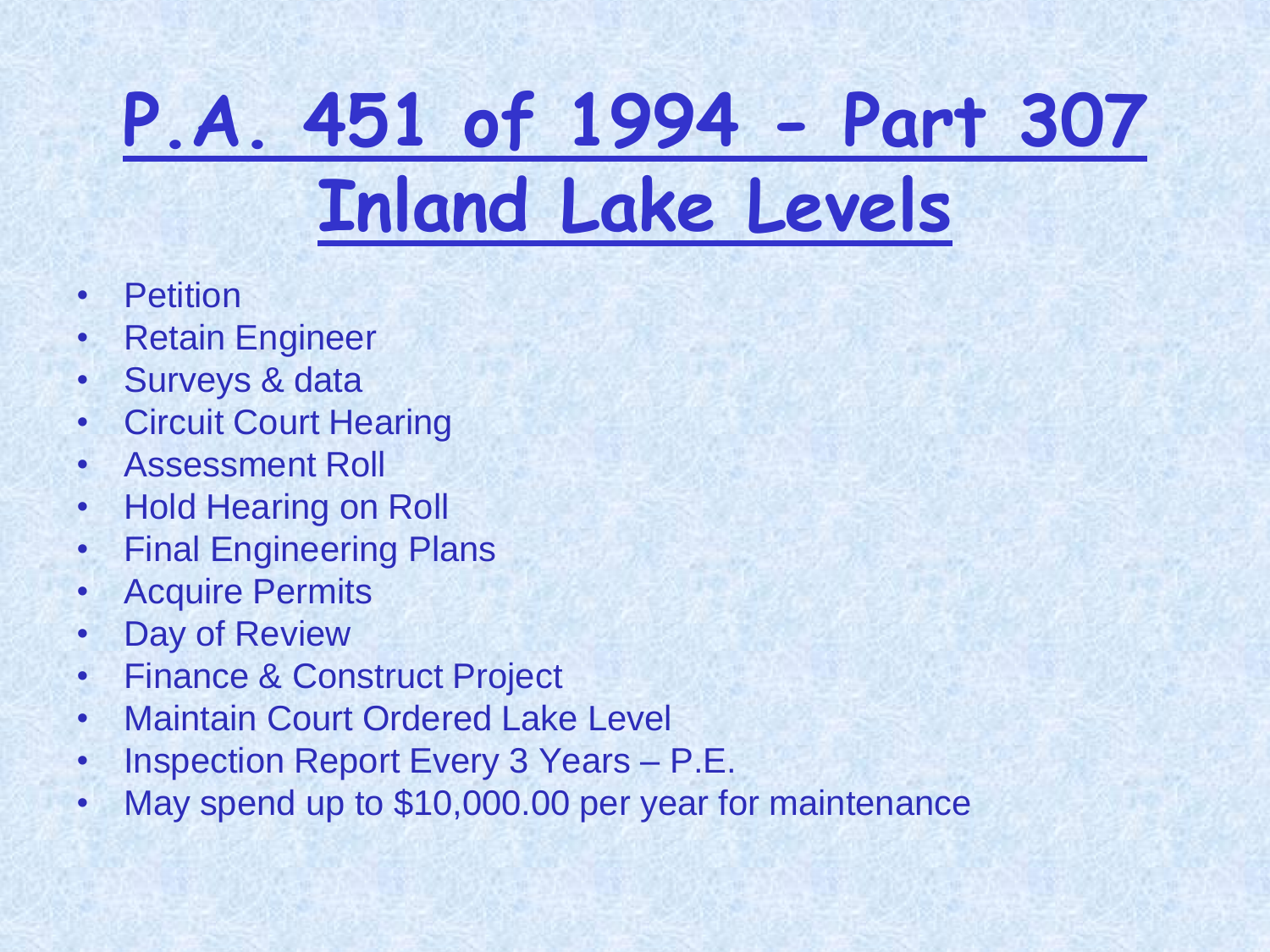# **P.A. 451 of 1994 - Part 307 Inland Lake Levels**

- Petition
- Retain Engineer
- Surveys & data
- Circuit Court Hearing
- Assessment Roll
- Hold Hearing on Roll
- Final Engineering Plans
- Acquire Permits
- Day of Review
- Finance & Construct Project
- Maintain Court Ordered Lake Level
- Inspection Report Every 3 Years P.E.
- May spend up to \$10,000.00 per year for maintenance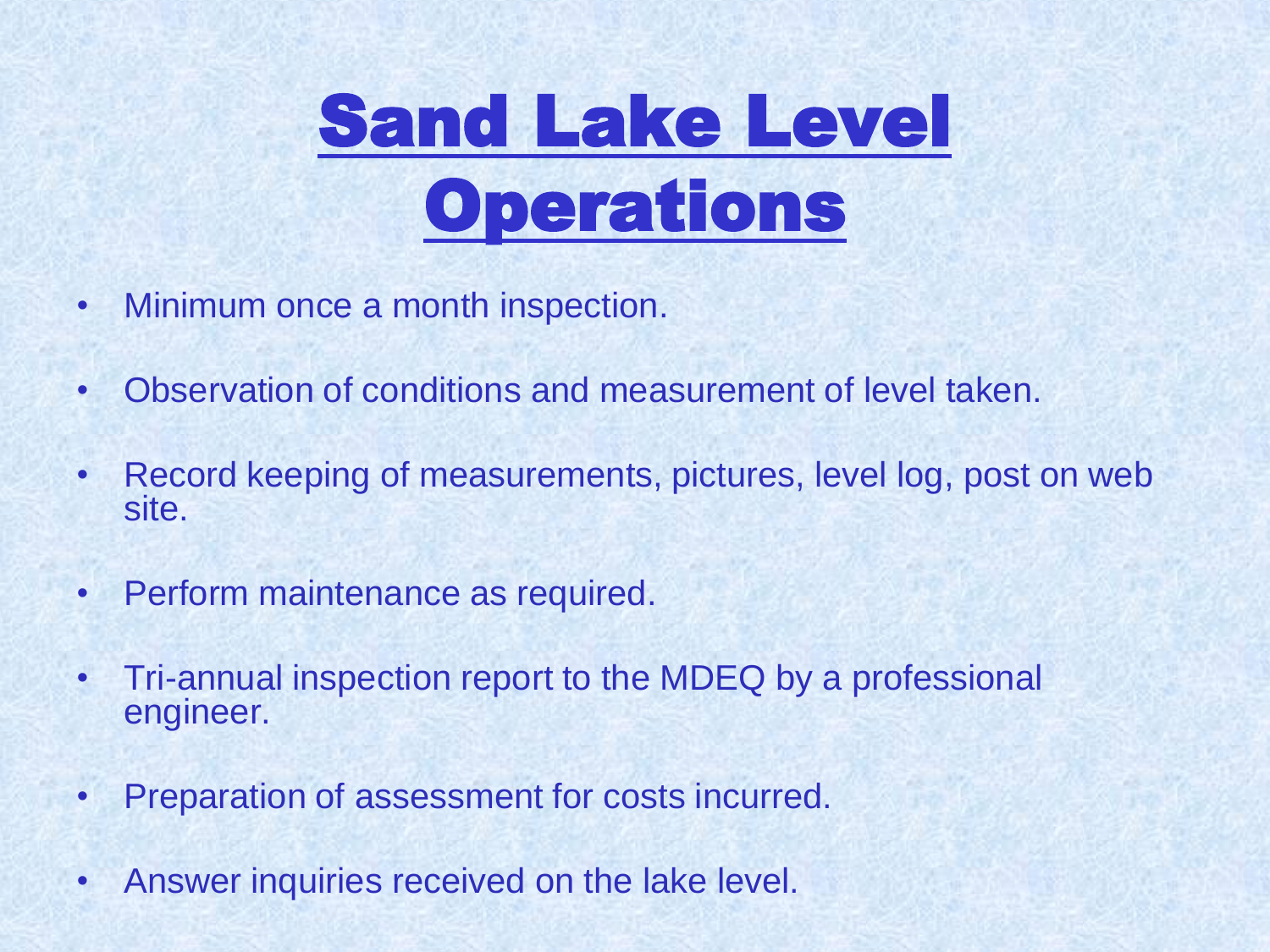

- Minimum once a month inspection.
- Observation of conditions and measurement of level taken.
- Record keeping of measurements, pictures, level log, post on web site.
- Perform maintenance as required.
- Tri-annual inspection report to the MDEQ by a professional engineer.
- Preparation of assessment for costs incurred.
- Answer inquiries received on the lake level.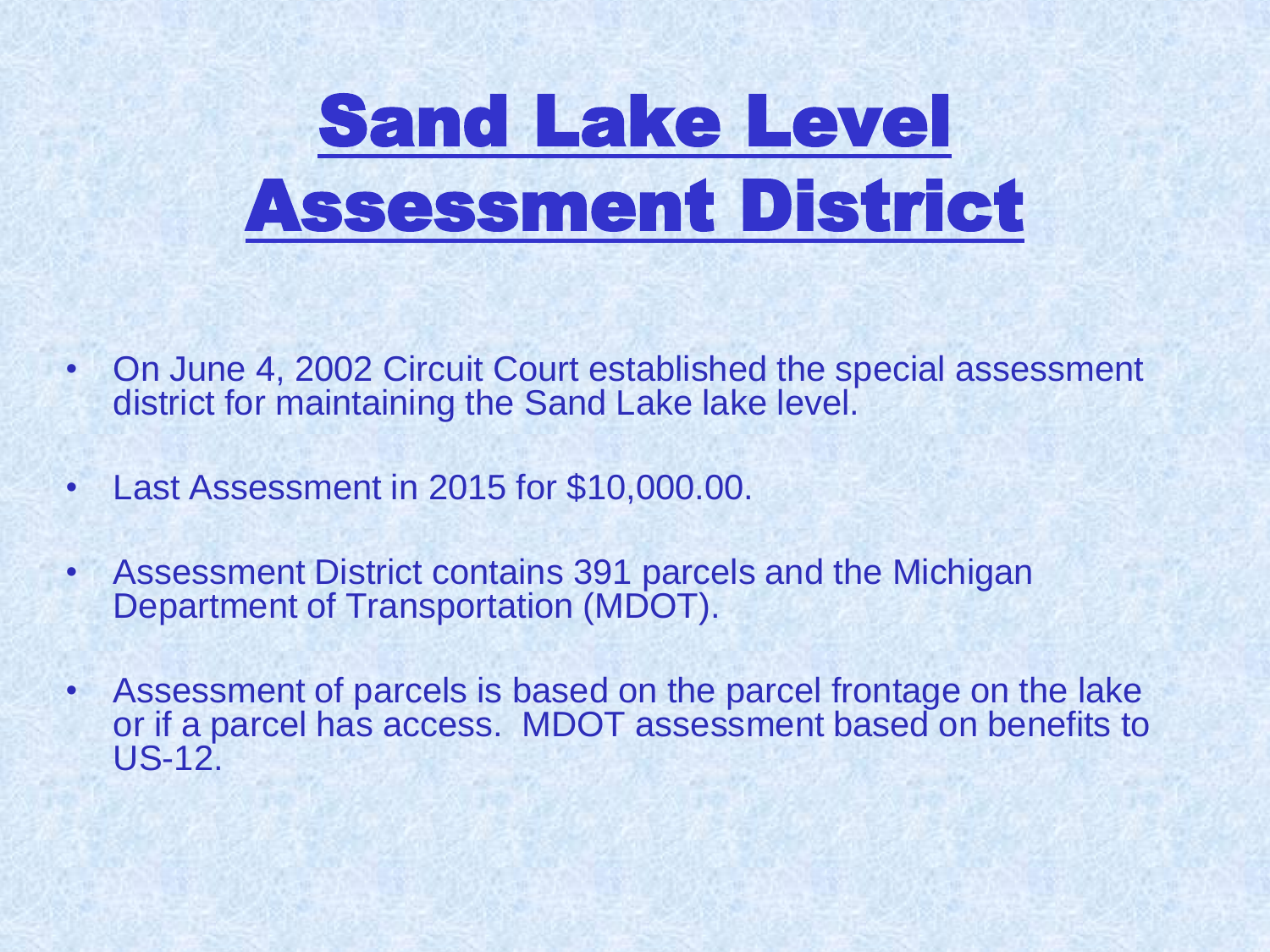# Sand Lake Level Assessment District

- On June 4, 2002 Circuit Court established the special assessment district for maintaining the Sand Lake lake level.
- Last Assessment in 2015 for \$10,000.00.
- Assessment District contains 391 parcels and the Michigan Department of Transportation (MDOT).
- Assessment of parcels is based on the parcel frontage on the lake or if a parcel has access. MDOT assessment based on benefits to US-12.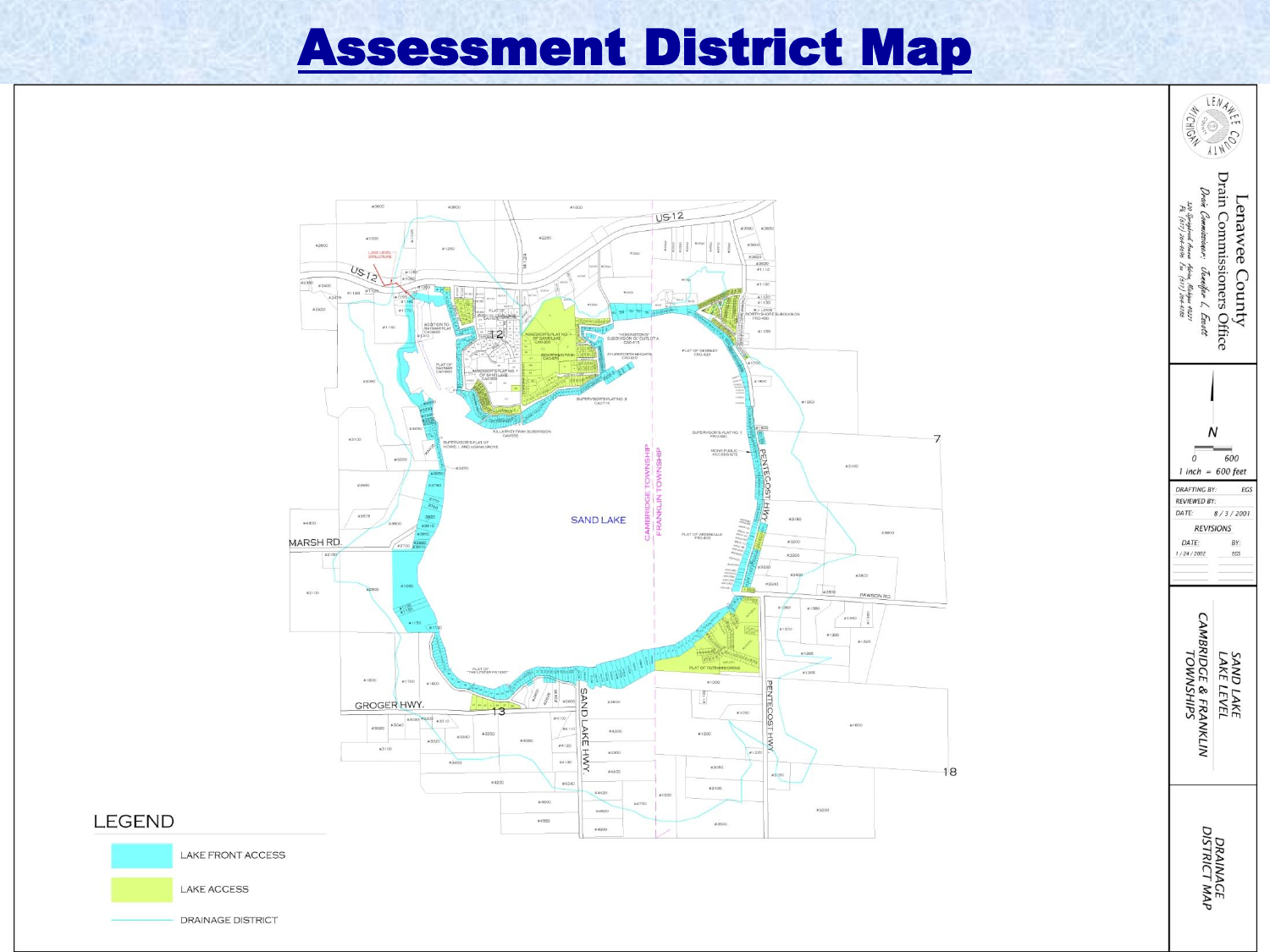#### **Assessment District Map**



#### **LEGEND**

**LAKE FRONT ACCESS** 

**LAKE ACCESS** 

DRAINAGE DISTRICT

Lenawee County<br>Drain Commissioners Office<br>*Drai Comm*issioners Office Albrian, Mickigan 49221<br>Fau (517) 204-4785 <sub>N</sub> 600  $\theta$  $1$  inch = 600 feet **DRAFTING BY:** EGS **REVIEWED BY:** DATE:  $8/3/2001$ **REVISIONS** DATE: BY: 1/24/2002 EGS **CAMBRIDGE & FRANKLIN**<br>TOWNSHIPS SAND LAKE<br>LAKE LEVEL **DRAINACE<br>DISTRICT MAP** 

LENAR

CONTIL

**A/CHIGAS** 

320 Sprague

 $Treeus$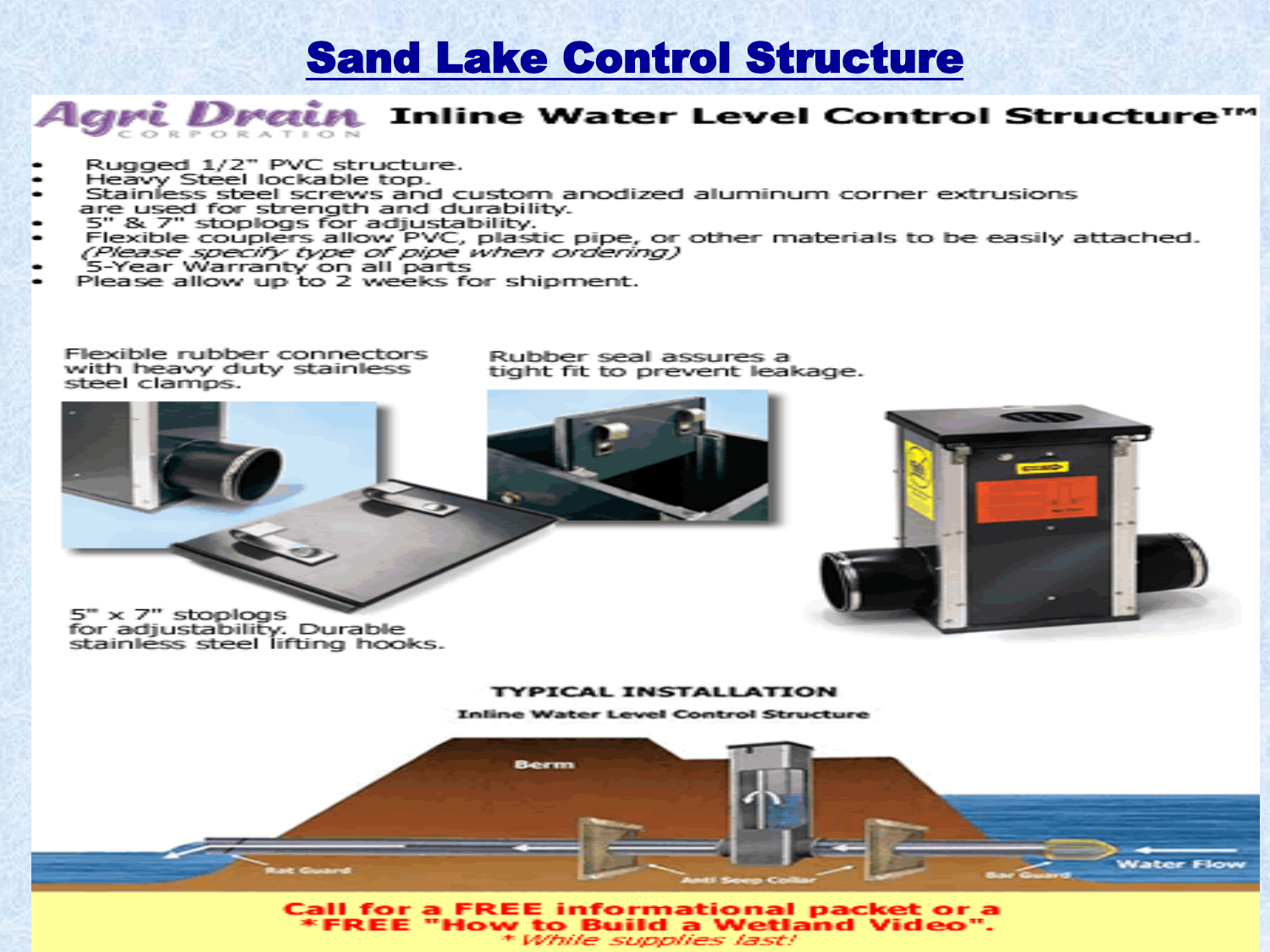#### **Sand Lake Control Structure**

#### Agri Drain Inline Water Level Control Structure™ CORPORATION

- Rugged 1/2" PVC structure.
- Heavy Steel lockable top.
- Stainless steel screws and custom anodized aluminum corner extrusions are used for strength and durability.
- 5" & 7" stoologs for adjustability.
- Flexible couplers allow PVC, plastic pipe, or other materials to be easily attached. (Please specify type of pipe when ordering)
- 5-Year Warranty on all parts
- Please allow up to 2 weeks for shipment.

Flexible rubber connectors with heavy duty stainless steel clamps.

Rubber seal assures a tight fit to prevent leakage.



Call for a FREE informational packet or a \*FREE "How to Build a Wetland Video". \* While supplies last!